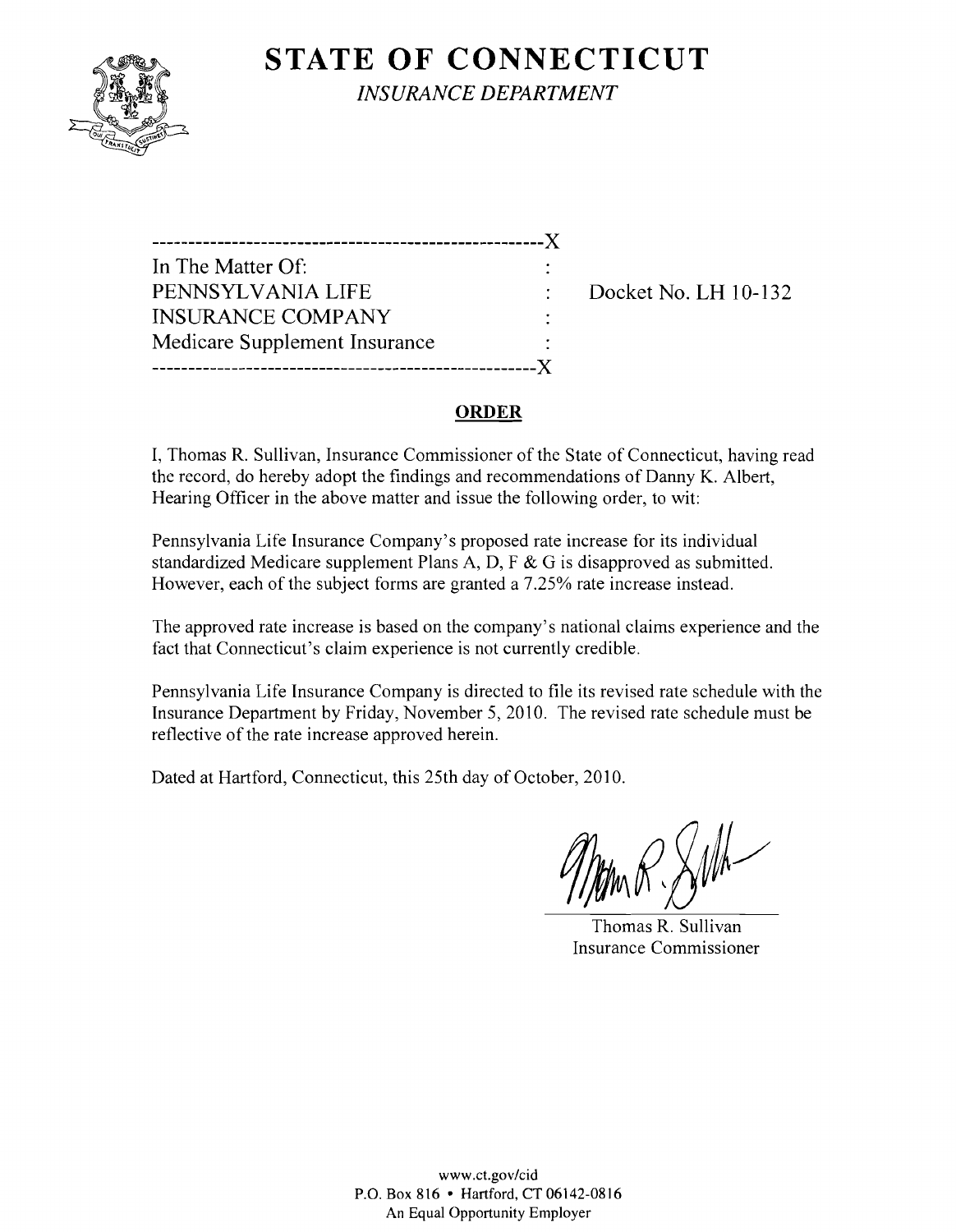

**STATE OF CONNECTICUT** *INSURANCE DEPARTMENT* 

| .                             |  |
|-------------------------------|--|
| In The Matter Of:             |  |
| PENNSYLVANIA LIFE             |  |
| <b>INSURANCE COMPANY</b>      |  |
| Medicare Supplement Insurance |  |
|                               |  |

Docket No. LH 10-132

#### **ORDER**

I, Thomas R. Sullivan, Insurance Commissioner of the State of Connecticut, having read the record, do hereby adopt the findings and recommendations of Danny K. Albert, Hearing Officer in the above matter and issue the following order, to wit:

Pennsylvania Life Insurance Company's proposed rate increase for its individual standardized Medicare supplement Plans A, D, F & G is disapproved as submitted. However, each of the subject forms are granted a 7.25% rate increase instead.

The approved rate increase is based on the company's national claims experience and the fact that Connecticut's claim experience is not currently credible.

Pennsylvania Life Insurance Company is directed to file its revised rate schedule with the Insurance Department by Friday, November 5, 2010. The revised rate schedule must be reflective of the rate increase approved herein.

Dated at Hartford, Connecticut, this 25th day of October, 2010.

Thomas R. Sullivan Insurance Commissioner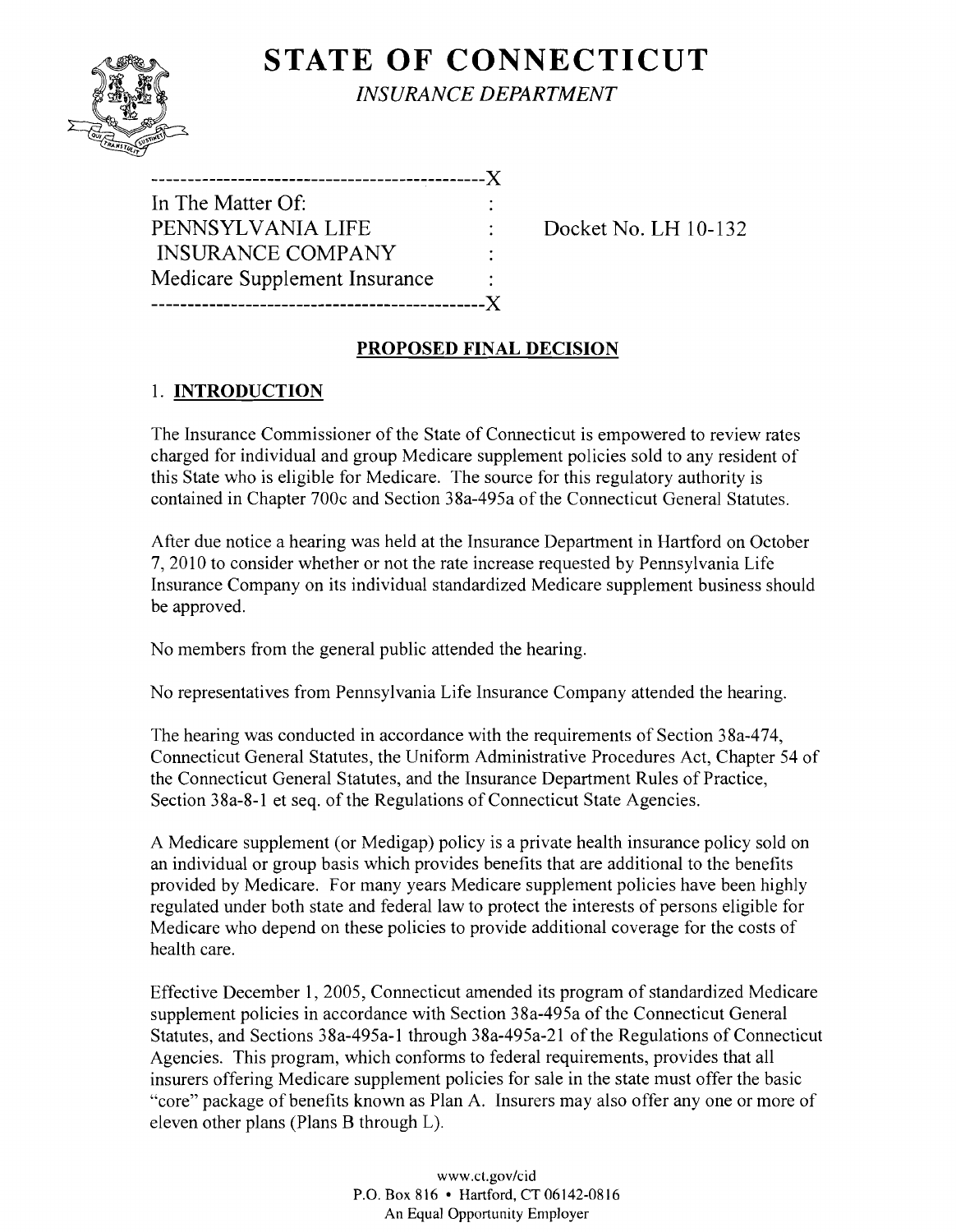# **STATE OF CONNECTICUT** *INSURANCE DEPARTMENT*

| ------------------            |
|-------------------------------|
| In The Matter Of:             |
| PENNSYLVANIA LIFE             |
| <b>INSURANCE COMPANY</b>      |
| Medicare Supplement Insurance |
| X.                            |

Docket No. LH 10-132

### **PROPOSED FINAL DECISION**

## I. **INTRODUCTION**

The Insurance Commissioner of the State of Connecticut is empowered to review rates charged for individual and group Medicare supplement policies sold to any resident of this State who is eligible for Medicare. The source for this regulatory authority is contained in Chapter 700c and Section 38a-495a of the Connecticut General Statutes.

After due notice a hearing was held at the Insurance Department in Hartford on October 7,2010 to consider whether or not the rate increase requested by Pennsylvania Life Insurance Company on its individual standardized Medicare supplement business should be approved.

No members from the general public attended the hearing.

No representatives from Pennsylvania Life Insurance Company attended the hearing.

The hearing was conducted in accordance with the requirements of Section 38a-474, Connecticut General Statutes, the Uniform Administrative Procedures Act, Chapter 54 of the Connecticut General Statutes, and the Insurance Department Rules of Practice, Section 38a-8-1 et seq. of the Regulations of Connecticut State Agencies.

A Medicare supplement (or Medigap) policy is a private health insurance policy sold on an individual or group basis which provides benefits that are additional to the benefits provided by Medicare. For many years Medicare supplement policies have been highly regulated under both state and federal law to protect the interests of persons eligible for Medicare who depend on these policies to provide additional coverage for the costs of health care.

Effective December 1,2005, Connecticut amended its program of standardized Medicare supplement policies in accordance with Section 38a-495a of the Connecticut General Statutes, and Sections 38a-495a-1 through 38a-495a-21 of the Regulations of Connecticut Agencies. This program, which conforms to federal requirements, provides that all insurers offering Medicare supplement policies for sale in the state must offer the basic "core" package of benefits known as Plan A. Insurers may also offer anyone or more of eleven other plans (Plans B through L).

> www.cLgov/cid P.O. Box 816 • Hartford, CT 06142-0816 An Equal Opportunity Employer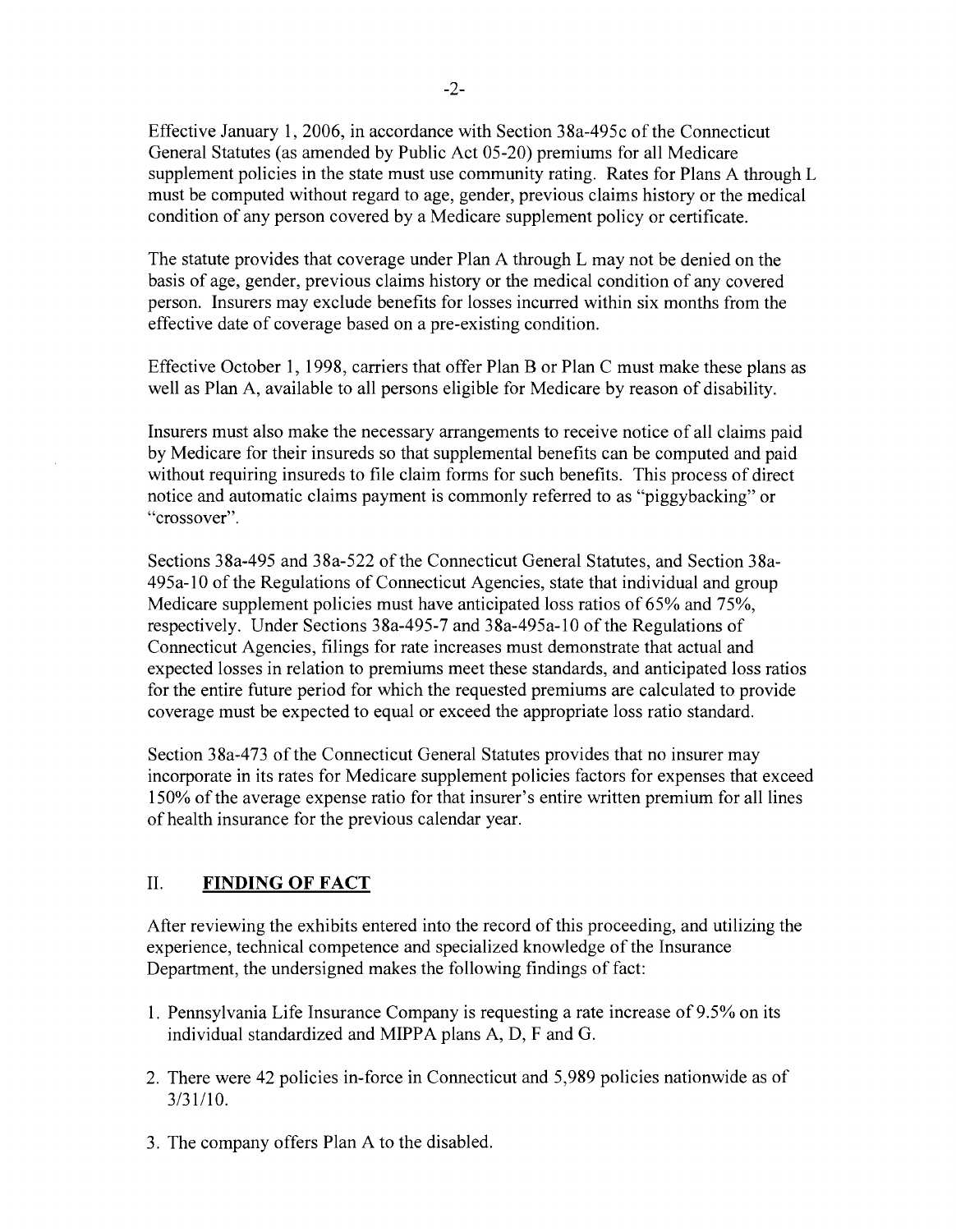Effective January 1,2006, in accordance with Section 38a-495c ofthe Connecticut General Statutes (as amended by Public Act 05-20) premiums for all Medicare supplement policies in the state must use community rating. Rates for Plans A through L must be computed without regard to age, gender, previous claims history or the medical condition of any person covered by a Medicare supplement policy or certificate.

The statute provides that coverage under Plan A through L may not be denied on the basis of age, gender, previous claims history or the medical condition of any covered person. Insurers may exclude benefits for losses incurred within six months from the effective date of coverage based on a pre-existing condition.

Effective October 1, 1998, carriers that offer Plan B or Plan C must make these plans as well as Plan A, available to all persons eligible for Medicare by reason of disability.

Insurers must also make the necessary arrangements to receive notice of all claims paid by Medicare for their insureds so that supplemental benefits can be computed and paid without requiring insureds to file claim forms for such benefits. This process of direct notice and automatic claims payment is commonly referred to as "piggybacking" or "crossover".

Sections 38a-495 and 38a-522 of the Connecticut General Statutes, and Section 38a-495a-lO of the Regulations of Connecticut Agencies, state that individual and group Medicare supplement policies must have anticipated loss ratios of 65% and 75%, respectively. Under Sections 38a-495-7 and 38a-495a-1O of the Regulations of Connecticut Agencies, filings for rate increases must demonstrate that actual and expected losses in relation to premiums meet these standards, and anticipated loss ratios for the entire future period for which the requested premiums are calculated to provide coverage must be expected to equal or exceed the appropriate loss ratio standard.

Section 38a-473 of the Connecticut General Statutes provides that no insurer may incorporate in its rates for Medicare supplement policies factors for expenses that exceed 150% of the average expense ratio for that insurer's entire written premium for all lines of health insurance for the previous calendar year.

#### II. **FINDING OF FACT**

After reviewing the exhibits entered into the record of this proceeding, and utilizing the experience, technical competence and specialized knowledge of the Insurance Department, the undersigned makes the following findings of fact:

- 1. Pennsylvania Life Insurance Company is requesting a rate increase of 9.5% on its individual standardized and MIPPA plans A, D, F and G.
- 2. There were 42 policies in-force in Connecticut and 5,989 policies nationwide as of  $3/31/10$ .
- 3. The company offers Plan A to the disabled.